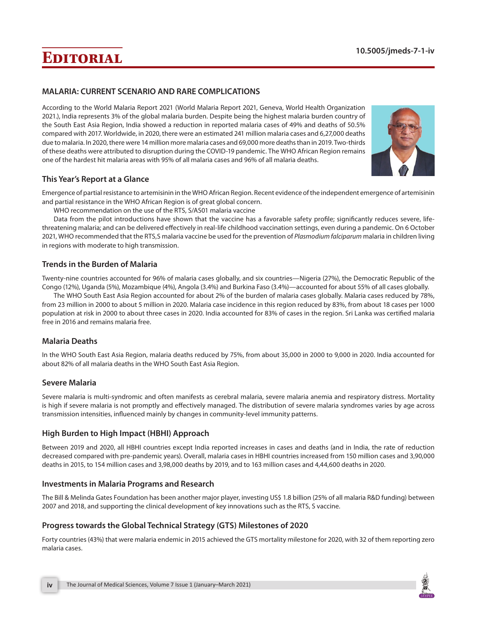# **Editorial 10.5005/jmeds-7-1-iv**

## **MALARIA: CURRENT SCENARIO AND RARE COMPLICATIONS**

According to the World Malaria Report 2021 (World Malaria Report 2021, Geneva, World Health Organization 2021.), India represents 3% of the global malaria burden. Despite being the highest malaria burden country of the South East Asia Region, India showed a reduction in reported malaria cases of 49% and deaths of 50.5% compared with 2017. Worldwide, in 2020, there were an estimated 241 million malaria cases and 6,27,000 deaths due to malaria. In 2020, there were 14 million more malaria cases and 69,000 more deaths than in 2019. Two-thirds of these deaths were attributed to disruption during the COVID-19 pandemic. The WHO African Region remains one of the hardest hit malaria areas with 95% of all malaria cases and 96% of all malaria deaths.



## **This Year's Report at a Glance**

Emergence of partial resistance to artemisinin in the WHO African Region. Recent evidence of the independent emergence of artemisinin and partial resistance in the WHO African Region is of great global concern.

WHO recommendation on the use of the RTS, S/AS01 malaria vaccine

Data from the pilot introductions have shown that the vaccine has a favorable safety profile; significantly reduces severe, lifethreatening malaria; and can be delivered effectively in real-life childhood vaccination settings, even during a pandemic. On 6 October 2021, WHO recommended that the RTS,S malaria vaccine be used for the prevention of *Plasmodium falciparum* malaria in children living in regions with moderate to high transmission.

#### **Trends in the Burden of Malaria**

Twenty-nine countries accounted for 96% of malaria cases globally, and six countries—Nigeria (27%), the Democratic Republic of the Congo (12%), Uganda (5%), Mozambique (4%), Angola (3.4%) and Burkina Faso (3.4%)—accounted for about 55% of all cases globally.

The WHO South East Asia Region accounted for about 2% of the burden of malaria cases globally. Malaria cases reduced by 78%, from 23 million in 2000 to about 5 million in 2020. Malaria case incidence in this region reduced by 83%, from about 18 cases per 1000 population at risk in 2000 to about three cases in 2020. India accounted for 83% of cases in the region. Sri Lanka was certified malaria free in 2016 and remains malaria free.

## **Malaria Deaths**

In the WHO South East Asia Region, malaria deaths reduced by 75%, from about 35,000 in 2000 to 9,000 in 2020. India accounted for about 82% of all malaria deaths in the WHO South East Asia Region.

#### **Severe Malaria**

Severe malaria is multi-syndromic and often manifests as cerebral malaria, severe malaria anemia and respiratory distress. Mortality is high if severe malaria is not promptly and effectively managed. The distribution of severe malaria syndromes varies by age across transmission intensities, influenced mainly by changes in community-level immunity patterns.

## **High Burden to High Impact (HBHI) Approach**

Between 2019 and 2020, all HBHI countries except India reported increases in cases and deaths (and in India, the rate of reduction decreased compared with pre-pandemic years). Overall, malaria cases in HBHI countries increased from 150 million cases and 3,90,000 deaths in 2015, to 154 million cases and 3,98,000 deaths by 2019, and to 163 million cases and 4,44,600 deaths in 2020.

## **Investments in Malaria Programs and Research**

The Bill & Melinda Gates Foundation has been another major player, investing US\$ 1.8 billion (25% of all malaria R&D funding) between 2007 and 2018, and supporting the clinical development of key innovations such as the RTS, S vaccine.

## **Progress towards the Global Technical Strategy (GTS) Milestones of 2020**

Forty countries (43%) that were malaria endemic in 2015 achieved the GTS mortality milestone for 2020, with 32 of them reporting zero malaria cases.

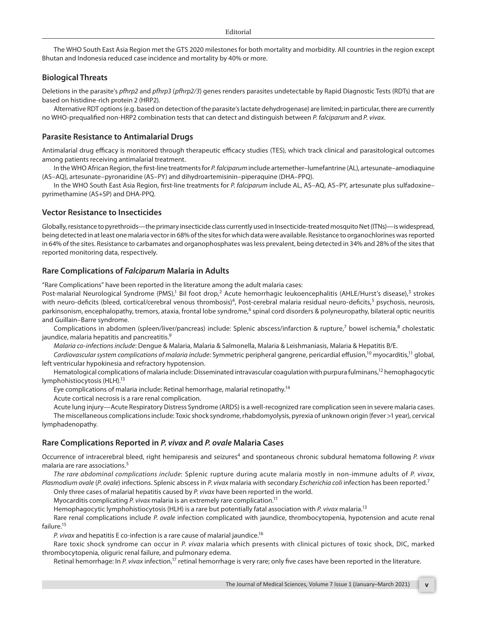The WHO South East Asia Region met the GTS 2020 milestones for both mortality and morbidity. All countries in the region except Bhutan and Indonesia reduced case incidence and mortality by 40% or more.

#### **Biological Threats**

Deletions in the parasite's *pfhrp2* and *pfhrp3* (*pfhrp2/3*) genes renders parasites undetectable by Rapid Diagnostic Tests (RDTs) that are based on histidine-rich protein 2 (HRP2).

Alternative RDT options (e.g. based on detection of the parasite's lactate dehydrogenase) are limited; in particular, there are currently no WHO-prequalified non-HRP2 combination tests that can detect and distinguish between *P. falciparum* and *P. vivax*.

#### **Parasite Resistance to Antimalarial Drugs**

Antimalarial drug efficacy is monitored through therapeutic efficacy studies (TES), which track clinical and parasitological outcomes among patients receiving antimalarial treatment.

In the WHO African Region, the first-line treatments for *P. falciparum* include artemether–lumefantrine (AL), artesunate–amodiaquine (AS–AQ), artesunate–pyronaridine (AS–PY) and dihydroartemisinin–piperaquine (DHA–PPQ).

In the WHO South East Asia Region, first-line treatments for *P. falciparum* include AL, AS–AQ, AS–PY, artesunate plus sulfadoxine– pyrimethamine (AS+SP) and DHA-PPQ.

#### **Vector Resistance to Insecticides**

Globally, resistance to pyrethroids—the primary insecticide class currently used in Insecticide-treated mosquito Net (ITNs)—is widespread, being detected in at least one malaria vector in 68% of the sites for which data were available. Resistance to organochlorines was reported in 64% of the sites. Resistance to carbamates and organophosphates was less prevalent, being detected in 34% and 28% of the sites that reported monitoring data, respectively.

#### **Rare Complications of** *Falciparum* **Malaria in Adults**

"Rare Complications" have been reported in the literature among the adult malaria cases:

Post-malarial Neurological Syndrome (PMS),<sup>1</sup> Bil foot drop,<sup>2</sup> Acute hemorrhagic leukoencephalitis (AHLE/Hurst's disease),<sup>3</sup> strokes with neuro-deficits (bleed, cortical/cerebral venous thrombosis)<sup>4</sup>, Post-cerebral malaria residual neuro-deficits,<sup>5</sup> psychosis, neurosis, parkinsonism, encephalopathy, tremors, ataxia, frontal lobe syndrome,<sup>6</sup> spinal cord disorders & polyneuropathy, bilateral optic neuritis and Guillain–Barre syndrome.

Complications in abdomen (spleen/liver/pancreas) include: Splenic abscess/infarction & rupture,<sup>7</sup> bowel ischemia,<sup>8</sup> cholestatic jaundice, malaria hepatitis and pancreatitis.<sup>9</sup>

*Malaria co-infections include*: Dengue & Malaria, Malaria & Salmonella, Malaria & Leishmaniasis, Malaria & Hepatitis B/E.

*Cardiovascular system complications of malaria include*: Symmetric peripheral gangrene, pericardial effusion,10 myocarditis,11 global, left ventricular hypokinesia and refractory hypotension.

Hematological complications of malaria include: Disseminated intravascular coagulation with purpura fulminans,<sup>12</sup> hemophagocytic lymphohistiocytosis (HLH).<sup>13</sup>

Eye complications of malaria include: Retinal hemorrhage, malarial retinopathy.<sup>14</sup>

Acute cortical necrosis is a rare renal complication.

Acute lung injury—Acute Respiratory Distress Syndrome (ARDS) is a well-recognized rare complication seen in severe malaria cases.

The miscellaneous complications include: Toxic shock syndrome, rhabdomyolysis, pyrexia of unknown origin (fever >1 year), cervical lymphadenopathy.

#### **Rare Complications Reported in** *P. vivax* **and** *P. ovale* **Malaria Cases**

Occurrence of intracerebral bleed, right hemiparesis and seizures<sup>4</sup> and spontaneous chronic subdural hematoma following P. vivax malaria are rare associations.<sup>5</sup>

*The rare abdominal complications include*: Splenic rupture during acute malaria mostly in non-immune adults of *P. vivax*, *Plasmodium ovale* (*P. ovale*) infections. Splenic abscess in *P. vivax* malaria with secondary *Escherichia coli* infection has been reported.7

Only three cases of malarial hepatitis caused by *P. vivax* have been reported in the world.

Myocarditis complicating *P. vivax* malaria is an extremely rare complication.<sup>11</sup>

Hemophagocytic lymphohistiocytosis (HLH) is a rare but potentially fatal association with *P. vivax* malaria.13

Rare renal complications include *P. ovale* infection complicated with jaundice, thrombocytopenia, hypotension and acute renal failure.<sup>15</sup>

*P. vivax* and hepatitis E co-infection is a rare cause of malarial jaundice.16

Rare toxic shock syndrome can occur in *P. vivax* malaria which presents with clinical pictures of toxic shock, DIC, marked thrombocytopenia, oliguric renal failure, and pulmonary edema.

Retinal hemorrhage: In P. vivax infection,<sup>17</sup> retinal hemorrhage is very rare; only five cases have been reported in the literature.